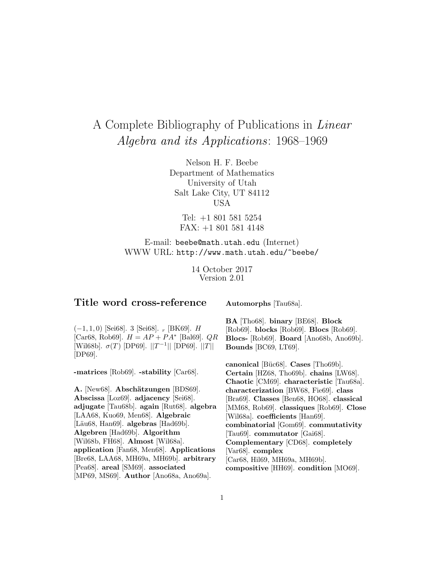# A Complete Bibliography of Publications in Linear Algebra and its Applications: 1968–1969

Nelson H. F. Beebe Department of Mathematics University of Utah Salt Lake City, UT 84112 USA

Tel: +1 801 581 5254 FAX: +1 801 581 4148

E-mail: beebe@math.utah.edu (Internet) WWW URL: http://www.math.utah.edu/~beebe/

> 14 October 2017 Version 2.01

# **Title word cross-reference**

**Automorphs** [Tau68a].

 $(-1, 1, 0)$  [Sei68]. 3 [Sei68].  $_r$  [BK69]. *H* [Car68, Rob69].  $H = AP + PA^*$  [Bal69].  $QR$ [Wil68b].  $\sigma(T)$  [DP69].  $||T^{-1}||$  [DP69].  $||T||$ [DP69].

**-matrices** [Rob69]. **-stability** [Car68].

A. [New68]. Abschätzungen [BDS69]. **Abscissa** [Loz69]. **adjacency** [Sei68]. **adjugate** [Tau68b]. **again** [Rut68]. **algebra** [LAA68, Kuo69, Men68]. **Algebraic** [Läu68, Han69]. **algebras** [Had69b]. **Algebren** [Had69b]. **Algorithm** [Wil68b, FH68]. **Almost** [Wil68a]. **application** [Fan68, Men68]. **Applications** [Bre68, LAA68, MH69a, MH69b]. **arbitrary** [Pea68]. **areal** [SM69]. **associated** [MP69, MS69]. **Author** [Ano68a, Ano69a].

**BA** [Tho68]. **binary** [BE68]. **Block** [Rob69]. **blocks** [Rob69]. **Blocs** [Rob69]. **Blocs-** [Rob69]. **Board** [Ano68b, Ano69b]. **Bounds** [BC69, LT69].

**canonical** [Büc68]. **Cases** [Tho69b]. **Certain** [HZ68, Tho69b]. **chains** [LW68]. **Chaotic** [CM69]. **characteristic** [Tau68a]. **characterization** [BW68, Fie69]. **class** [Bra69]. **Classes** [Ben68, HO68]. **classical** [MM68, Rob69]. **classiques** [Rob69]. **Close** [Wil68a]. **coefficients** [Han69]. **combinatorial** [Gom69]. **commutativity** [Tau69]. **commutator** [Gai68]. **Complementary** [CD68]. **completely** [Var68]. **complex** [Car68, Hil69, MH69a, MH69b]. **compositive** [HH69]. **condition** [MO69].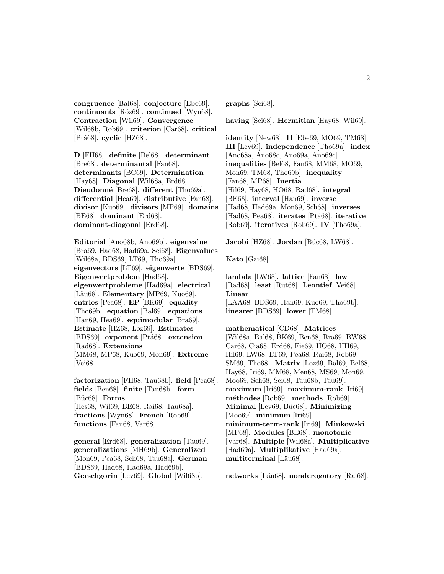**congruence** [Bal68]. **conjecture** [Ebe69]. **continuants** [R´oz69]. **continued** [Wyn68]. **Contraction** [Wil69]. **Convergence** [Wil68b, Rob69]. **criterion** [Car68]. **critical** [Pt´a68]. **cyclic** [HZ68].

**D** [FH68]. **definite** [Bel68]. **determinant** [Bre68]. **determinantal** [Fan68]. **determinants** [BC69]. **Determination** [Hay68]. **Diagonal** [Wil68a, Erd68]. **Dieudonn´e** [Bre68]. **different** [Tho69a]. **differential** [Hea69]. **distributive** [Fan68]. **divisor** [Kuo69]. **divisors** [MP69]. **domains** [BE68]. **dominant** [Erd68]. **dominant-diagonal** [Erd68].

**Editorial** [Ano68b, Ano69b]. **eigenvalue** [Bra69, Had68, Had69a, Sei68]. **Eigenvalues** [Wil68a, BDS69, LT69, Tho69a]. **eigenvectors** [LT69]. **eigenwerte** [BDS69]. **Eigenwertproblem** [Had68]. **eigenwertprobleme** [Had69a]. **electrical** [Läu68]. **Elementary** [MP69, Kuo69]. **entries** [Pea68]. **EP** [BK69]. **equality** [Tho69b]. **equation** [Bal69]. **equations** [Han69, Hea69]. **equimodular** [Bra69]. **Estimate** [HZ68, Loz69]. **Estimates** [BDS69]. **exponent** [Ptá68]. **extension** [Rad68]. **Extensions** [MM68, MP68, Kuo69, Mon69]. **Extreme** [Vei68].

**factorization** [FH68, Tau68b]. **field** [Pea68]. **fields** [Ben68]. **finite** [Tau68b]. **form** [Büc68]. **Forms** [Hes68, Wil69, BE68, Rai68, Tau68a]. **fractions** [Wyn68]. **French** [Rob69]. **functions** [Fan68, Var68].

**general** [Erd68]. **generalization** [Tau69]. **generalizations** [MH69b]. **Generalized** [Mon69, Pea68, Sch68, Tau68a]. **German** [BDS69, Had68, Had69a, Had69b]. **Gerschgorin** [Lev69]. **Global** [Wil68b].

**graphs** [Sei68].

**having** [Sei68]. **Hermitian** [Hay68, Wil69].

**identity** [New68]. **II** [Ebe69, MO69, TM68]. **III** [Lev69]. **independence** [Tho69a]. **index** [Ano68a, Ano68c, Ano69a, Ano69c]. **inequalities** [Bel68, Fan68, MM68, MO69, Mon69, TM68, Tho69b]. **inequality** [Fan68, MP68]. **Inertia** [Hil69, Hay68, HO68, Rad68]. **integral** [BE68]. **interval** [Han69]. **inverse** [Had68, Had69a, Mon69, Sch68]. **inverses** [Had68, Pea68]. **iterates** [Pt´a68]. **iterative** [Rob69]. **iteratives** [Rob69]. **IV** [Tho69a].

Jacobi<sup>[HZ68]</sup>. Jordan<sup>[Büc68</sup>, LW68].

**Kato** [Gai68].

**lambda** [LW68]. **lattice** [Fan68]. **law** [Rad68]. **least** [Rut68]. **Leontief** [Vei68]. **Linear** [LAA68, BDS69, Han69, Kuo69, Tho69b]. **linearer** [BDS69]. **lower** [TM68].

**mathematical** [CD68]. **Matrices** [Wil68a, Bal68, BK69, Ben68, Bra69, BW68, Car68, Cia68, Erd68, Fie69, HO68, HH69, Hil69, LW68, LT69, Pea68, Rai68, Rob69, SM69, Tho68]. **Matrix** [Loz69, Bal69, Bel68, Hay68, Iri69, MM68, Men68, MS69, Mon69, Moo69, Sch68, Sei68, Tau68b, Tau69]. **maximum** [Iri69]. **maximum-rank** [Iri69]. **m´ethodes** [Rob69]. **methods** [Rob69]. **Minimal** [Lev69, Büc68]. **Minimizing** [Moo69]. **minimum** [Iri69]. **minimum-term-rank** [Iri69]. **Minkowski** [MP68]. **Modules** [BE68]. **monotonic** [Var68]. **Multiple** [Wil68a]. **Multiplicative** [Had69a]. **Multiplikative** [Had69a]. multiterminal [Läu68].

**networks** [Läu68]. **nonderogatory** [Rai68].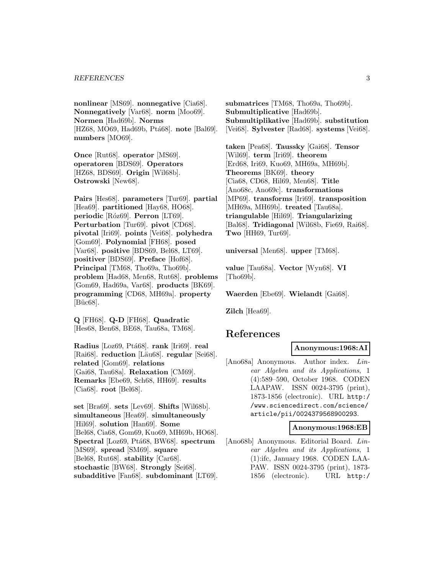#### *REFERENCES* 3

**nonlinear** [MS69]. **nonnegative** [Cia68]. **Nonnegatively** [Var68]. **norm** [Moo69]. **Normen** [Had69b]. **Norms** [HZ68, MO69, Had69b, Ptá68]. **note** [Bal69]. **numbers** [MO69].

**Once** [Rut68]. **operator** [MS69]. **operatoren** [BDS69]. **Operators** [HZ68, BDS69]. **Origin** [Wil68b]. **Ostrowski** [New68].

**Pairs** [Hes68]. **parameters** [Tur69]. **partial** [Hea69]. **partitioned** [Hay68, HO68]. **periodic** [Róz69]. **Perron** [LT69]. **Perturbation** [Tur69]. **pivot** [CD68]. **pivotal** [Iri69]. **points** [Vei68]. **polyhedra** [Gom69]. **Polynomial** [FH68]. **posed** [Var68]. **positive** [BDS69, Bel68, LT69]. **positiver** [BDS69]. **Preface** [Hof68]. **Principal** [TM68, Tho69a, Tho69b]. **problem** [Had68, Men68, Rut68]. **problems** [Gom69, Had69a, Var68]. **products** [BK69]. **programming** [CD68, MH69a]. **property**  $[Büc68]$ .

**Q** [FH68]. **Q-D** [FH68]. **Quadratic** [Hes68, Ben68, BE68, Tau68a, TM68].

**Radius** [Loz69, Pt´a68]. **rank** [Iri69]. **real** [Rai68]. **reduction** [Läu68]. **regular** [Sei68]. **related** [Gom69]. **relations** [Gai68, Tau68a]. **Relaxation** [CM69]. **Remarks** [Ebe69, Sch68, HH69]. **results** [Cia68]. **root** [Bel68].

**set** [Bra69]. **sets** [Lev69]. **Shifts** [Wil68b]. **simultaneous** [Hea69]. **simultaneously** [Hil69]. **solution** [Han69]. **Some** [Bel68, Cia68, Gom69, Kuo69, MH69b, HO68]. **Spectral** [Loz69, Ptá68, BW68]. **spectrum** [MS69]. **spread** [SM69]. **square** [Bel68, Rut68]. **stability** [Car68]. **stochastic** [BW68]. **Strongly** [Sei68]. **subadditive** [Fan68]. **subdominant** [LT69]. **submatrices** [TM68, Tho69a, Tho69b]. **Submultiplicative** [Had69b]. **Submultiplikative** [Had69b]. **substitution** [Vei68]. **Sylvester** [Rad68]. **systems** [Vei68].

**taken** [Pea68]. **Taussky** [Gai68]. **Tensor** [Wil69]. **term** [Iri69]. **theorem** [Erd68, Iri69, Kuo69, MH69a, MH69b]. **Theorems** [BK69]. **theory** [Cia68, CD68, Hil69, Men68]. **Title** [Ano68c, Ano69c]. **transformations** [MP69]. **transforms** [Iri69]. **transposition** [MH69a, MH69b]. **treated** [Tau68a]. **triangulable** [Hil69]. **Triangularizing** [Bal68]. **Tridiagonal** [Wil68b, Fie69, Rai68]. **Two** [HH69, Tur69].

**universal** [Men68]. **upper** [TM68].

**value** [Tau68a]. **Vector** [Wyn68]. **VI** [Tho69b].

**Waerden** [Ebe69]. **Wielandt** [Gai68].

**Zilch** [Hea69].

# **References**

#### **Anonymous:1968:AI**

[Ano68a] Anonymous. Author index. Linear Algebra and its Applications, 1 (4):589–590, October 1968. CODEN LAAPAW. ISSN 0024-3795 (print), 1873-1856 (electronic). URL http:/ /www.sciencedirect.com/science/ article/pii/0024379568900293.

#### **Anonymous:1968:EB**

[Ano68b] Anonymous. Editorial Board. Linear Algebra and its Applications, 1 (1):ifc, January 1968. CODEN LAA-PAW. ISSN 0024-3795 (print), 1873- 1856 (electronic). URL http:/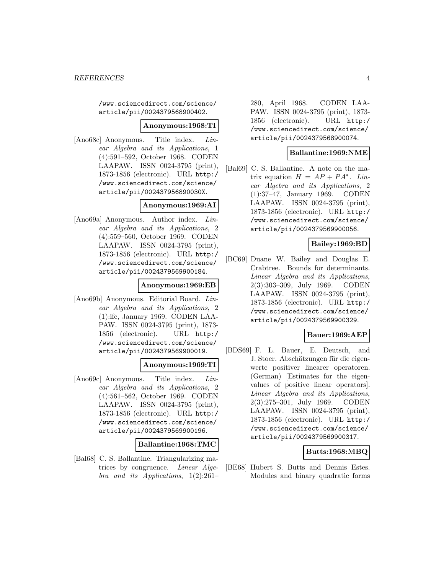/www.sciencedirect.com/science/ article/pii/0024379568900402.

#### **Anonymous:1968:TI**

[Ano68c] Anonymous. Title index. Linear Algebra and its Applications, 1 (4):591–592, October 1968. CODEN LAAPAW. ISSN 0024-3795 (print), 1873-1856 (electronic). URL http:/ /www.sciencedirect.com/science/ article/pii/002437956890030X.

#### **Anonymous:1969:AI**

[Ano69a] Anonymous. Author index. Linear Algebra and its Applications, 2 (4):559–560, October 1969. CODEN LAAPAW. ISSN 0024-3795 (print), 1873-1856 (electronic). URL http:/ /www.sciencedirect.com/science/ article/pii/0024379569900184.

#### **Anonymous:1969:EB**

[Ano69b] Anonymous. Editorial Board. Linear Algebra and its Applications, 2 (1):ifc, January 1969. CODEN LAA-PAW. ISSN 0024-3795 (print), 1873- 1856 (electronic). URL http:/ /www.sciencedirect.com/science/ article/pii/0024379569900019.

## **Anonymous:1969:TI**

[Ano69c] Anonymous. Title index. Linear Algebra and its Applications, 2 (4):561–562, October 1969. CODEN LAAPAW. ISSN 0024-3795 (print), 1873-1856 (electronic). URL http:/ /www.sciencedirect.com/science/ article/pii/0024379569900196.

#### **Ballantine:1968:TMC**

[Bal68] C. S. Ballantine. Triangularizing matrices by congruence. Linear Algebra and its Applications, 1(2):261–

280, April 1968. CODEN LAA-PAW. ISSN 0024-3795 (print), 1873- 1856 (electronic). URL http:/ /www.sciencedirect.com/science/ article/pii/0024379568900074.

## **Ballantine:1969:NME**

[Bal69] C. S. Ballantine. A note on the matrix equation  $H = AP + PA^*$ . Linear Algebra and its Applications, 2 (1):37–47, January 1969. CODEN LAAPAW. ISSN 0024-3795 (print), 1873-1856 (electronic). URL http:/ /www.sciencedirect.com/science/ article/pii/0024379569900056.

## **Bailey:1969:BD**

[BC69] Duane W. Bailey and Douglas E. Crabtree. Bounds for determinants. Linear Algebra and its Applications, 2(3):303–309, July 1969. CODEN LAAPAW. ISSN 0024-3795 (print), 1873-1856 (electronic). URL http:/ /www.sciencedirect.com/science/ article/pii/0024379569900329.

#### **Bauer:1969:AEP**

[BDS69] F. L. Bauer, E. Deutsch, and J. Stoer. Abschätzungen für die eigenwerte positiver linearer operatoren. (German) [Estimates for the eigenvalues of positive linear operators]. Linear Algebra and its Applications, 2(3):275–301, July 1969. CODEN LAAPAW. ISSN 0024-3795 (print), 1873-1856 (electronic). URL http:/ /www.sciencedirect.com/science/ article/pii/0024379569900317.

#### **Butts:1968:MBQ**

[BE68] Hubert S. Butts and Dennis Estes. Modules and binary quadratic forms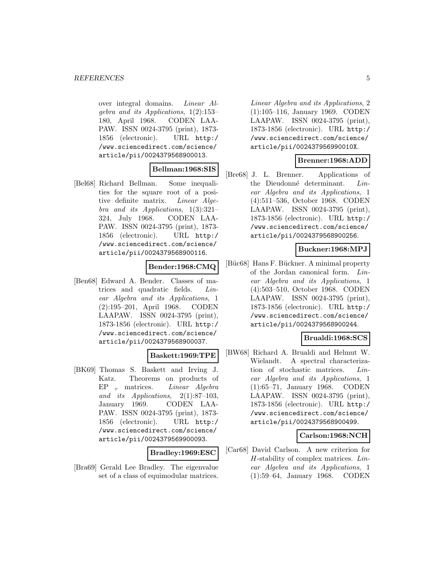over integral domains. Linear Algebra and its Applications, 1(2):153– 180, April 1968. CODEN LAA-PAW. ISSN 0024-3795 (print), 1873- 1856 (electronic). URL http:/ /www.sciencedirect.com/science/ article/pii/0024379568900013.

# **Bellman:1968:SIS**

[Bel68] Richard Bellman. Some inequalities for the square root of a positive definite matrix. Linear Algebra and its Applications, 1(3):321– 324, July 1968. CODEN LAA-PAW. ISSN 0024-3795 (print), 1873- 1856 (electronic). URL http:/ /www.sciencedirect.com/science/ article/pii/0024379568900116.

# **Bender:1968:CMQ**

[Ben68] Edward A. Bender. Classes of matrices and quadratic fields. Linear Algebra and its Applications, 1 (2):195–201, April 1968. CODEN LAAPAW. ISSN 0024-3795 (print), 1873-1856 (electronic). URL http:/ /www.sciencedirect.com/science/ article/pii/0024379568900037.

# **Baskett:1969:TPE**

[BK69] Thomas S. Baskett and Irving J. Katz. Theorems on products of EP  $r$  matrices. *Linear Algebra* and its Applications, 2(1):87–103, January 1969. CODEN LAA-PAW. ISSN 0024-3795 (print), 1873- 1856 (electronic). URL http:/ /www.sciencedirect.com/science/ article/pii/0024379569900093.

#### **Bradley:1969:ESC**

[Bra69] Gerald Lee Bradley. The eigenvalue set of a class of equimodular matrices.

Linear Algebra and its Applications, 2 (1):105–116, January 1969. CODEN LAAPAW. ISSN 0024-3795 (print), 1873-1856 (electronic). URL http:/ /www.sciencedirect.com/science/ article/pii/002437956990010X.

#### **Brenner:1968:ADD**

[Bre68] J. L. Brenner. Applications of the Dieudonné determinant. Linear Algebra and its Applications, 1 (4):511–536, October 1968. CODEN LAAPAW. ISSN 0024-3795 (print), 1873-1856 (electronic). URL http:/ /www.sciencedirect.com/science/ article/pii/0024379568900256.

# **Buckner:1968:MPJ**

[Büc68] Hans F. Bückner. A minimal property of the Jordan canonical form. Linear Algebra and its Applications, 1 (4):503–510, October 1968. CODEN LAAPAW. ISSN 0024-3795 (print), 1873-1856 (electronic). URL http:/ /www.sciencedirect.com/science/ article/pii/0024379568900244.

# **Brualdi:1968:SCS**

[BW68] Richard A. Brualdi and Helmut W. Wielandt. A spectral characterization of stochastic matrices. Linear Algebra and its Applications, 1 (1):65–71, January 1968. CODEN LAAPAW. ISSN 0024-3795 (print), 1873-1856 (electronic). URL http:/ /www.sciencedirect.com/science/ article/pii/0024379568900499.

#### **Carlson:1968:NCH**

[Car68] David Carlson. A new criterion for H-stability of complex matrices. Linear Algebra and its Applications, 1 (1):59–64, January 1968. CODEN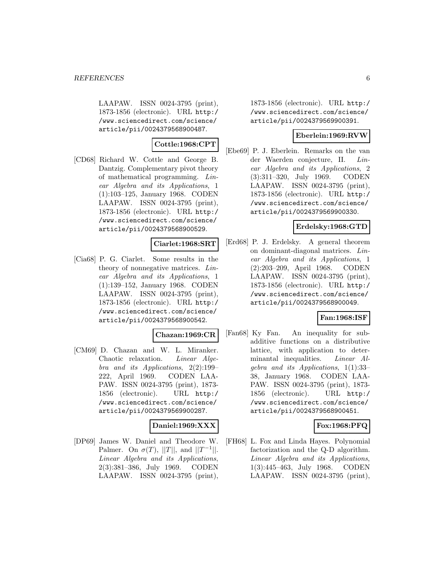LAAPAW. ISSN 0024-3795 (print), 1873-1856 (electronic). URL http:/ /www.sciencedirect.com/science/ article/pii/0024379568900487.

# **Cottle:1968:CPT**

[CD68] Richard W. Cottle and George B. Dantzig. Complementary pivot theory of mathematical programming. Linear Algebra and its Applications, 1 (1):103–125, January 1968. CODEN LAAPAW. ISSN 0024-3795 (print), 1873-1856 (electronic). URL http:/ /www.sciencedirect.com/science/ article/pii/0024379568900529.

## **Ciarlet:1968:SRT**

[Cia68] P. G. Ciarlet. Some results in the theory of nonnegative matrices. Linear Algebra and its Applications, 1 (1):139–152, January 1968. CODEN LAAPAW. ISSN 0024-3795 (print), 1873-1856 (electronic). URL http:/ /www.sciencedirect.com/science/ article/pii/0024379568900542.

#### **Chazan:1969:CR**

[CM69] D. Chazan and W. L. Miranker. Chaotic relaxation. Linear Algebra and its Applications, 2(2):199– 222, April 1969. CODEN LAA-PAW. ISSN 0024-3795 (print), 1873- 1856 (electronic). URL http:/ /www.sciencedirect.com/science/ article/pii/0024379569900287.

# **Daniel:1969:XXX**

[DP69] James W. Daniel and Theodore W. Palmer. On  $\sigma(T)$ , ||T||, and ||T<sup>-1</sup>||. Linear Algebra and its Applications, 2(3):381–386, July 1969. CODEN LAAPAW. ISSN 0024-3795 (print),

1873-1856 (electronic). URL http:/ /www.sciencedirect.com/science/ article/pii/0024379569900391.

#### **Eberlein:1969:RVW**

[Ebe69] P. J. Eberlein. Remarks on the van der Waerden conjecture, II. Linear Algebra and its Applications, 2 (3):311–320, July 1969. CODEN LAAPAW. ISSN 0024-3795 (print), 1873-1856 (electronic). URL http:/ /www.sciencedirect.com/science/ article/pii/0024379569900330.

## **Erdelsky:1968:GTD**

[Erd68] P. J. Erdelsky. A general theorem on dominant-diagonal matrices. Linear Algebra and its Applications, 1 (2):203–209, April 1968. CODEN LAAPAW. ISSN 0024-3795 (print), 1873-1856 (electronic). URL http:/ /www.sciencedirect.com/science/ article/pii/0024379568900049.

# **Fan:1968:ISF**

[Fan68] Ky Fan. An inequality for subadditive functions on a distributive lattice, with application to determinantal inequalities. Linear Algebra and its Applications, 1(1):33– 38, January 1968. CODEN LAA-PAW. ISSN 0024-3795 (print), 1873- 1856 (electronic). URL http:/ /www.sciencedirect.com/science/ article/pii/0024379568900451.

# **Fox:1968:PFQ**

[FH68] L. Fox and Linda Hayes. Polynomial factorization and the Q-D algorithm. Linear Algebra and its Applications, 1(3):445–463, July 1968. CODEN LAAPAW. ISSN 0024-3795 (print),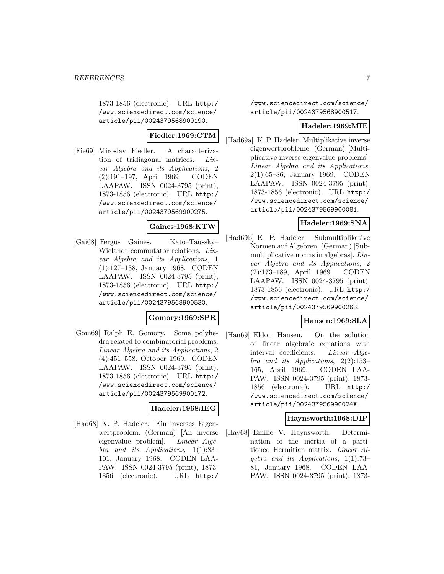1873-1856 (electronic). URL http:/ /www.sciencedirect.com/science/ article/pii/0024379568900190.

# **Fiedler:1969:CTM**

[Fie69] Miroslav Fiedler. A characterization of tridiagonal matrices. Linear Algebra and its Applications, 2 (2):191–197, April 1969. CODEN LAAPAW. ISSN 0024-3795 (print), 1873-1856 (electronic). URL http:/ /www.sciencedirect.com/science/ article/pii/0024379569900275.

## **Gaines:1968:KTW**

[Gai68] Fergus Gaines. Kato–Taussky– Wielandt commutator relations. Linear Algebra and its Applications, 1 (1):127–138, January 1968. CODEN LAAPAW. ISSN 0024-3795 (print), 1873-1856 (electronic). URL http:/ /www.sciencedirect.com/science/ article/pii/0024379568900530.

#### **Gomory:1969:SPR**

[Gom69] Ralph E. Gomory. Some polyhedra related to combinatorial problems. Linear Algebra and its Applications, 2 (4):451–558, October 1969. CODEN LAAPAW. ISSN 0024-3795 (print), 1873-1856 (electronic). URL http:/ /www.sciencedirect.com/science/ article/pii/0024379569900172.

#### **Hadeler:1968:IEG**

[Had68] K. P. Hadeler. Ein inverses Eigenwertproblem. (German) [An inverse eigenvalue problem]. Linear Algebra and its Applications, 1(1):83– 101, January 1968. CODEN LAA-PAW. ISSN 0024-3795 (print), 1873- 1856 (electronic). URL http:/

/www.sciencedirect.com/science/ article/pii/0024379568900517.

## **Hadeler:1969:MIE**

[Had69a] K. P. Hadeler. Multiplikative inverse eigenwertprobleme. (German) [Multiplicative inverse eigenvalue problems]. Linear Algebra and its Applications, 2(1):65–86, January 1969. CODEN LAAPAW. ISSN 0024-3795 (print), 1873-1856 (electronic). URL http:/ /www.sciencedirect.com/science/ article/pii/0024379569900081.

# **Hadeler:1969:SNA**

[Had69b] K. P. Hadeler. Submultiplikative Normen auf Algebren. (German) [Submultiplicative norms in algebras]. Linear Algebra and its Applications, 2 (2):173–189, April 1969. CODEN LAAPAW. ISSN 0024-3795 (print), 1873-1856 (electronic). URL http:/ /www.sciencedirect.com/science/ article/pii/0024379569900263.

# **Hansen:1969:SLA**

[Han69] Eldon Hansen. On the solution of linear algebraic equations with interval coefficients. Linear Algebra and its Applications, 2(2):153– 165, April 1969. CODEN LAA-PAW. ISSN 0024-3795 (print), 1873- 1856 (electronic). URL http:/ /www.sciencedirect.com/science/ article/pii/002437956990024X.

#### **Haynsworth:1968:DIP**

[Hay68] Emilie V. Haynsworth. Determination of the inertia of a partitioned Hermitian matrix. Linear Algebra and its Applications, 1(1):73– 81, January 1968. CODEN LAA-PAW. ISSN 0024-3795 (print), 1873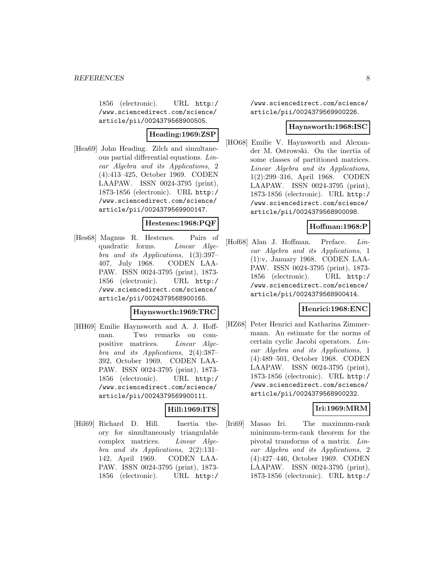1856 (electronic). URL http:/ /www.sciencedirect.com/science/ article/pii/0024379568900505.

# **Heading:1969:ZSP**

[Hea69] John Heading. Zilch and simultaneous partial differential equations. Linear Algebra and its Applications, 2 (4):413–425, October 1969. CODEN LAAPAW. ISSN 0024-3795 (print), 1873-1856 (electronic). URL http:/ /www.sciencedirect.com/science/ article/pii/0024379569900147.

## **Hestenes:1968:PQF**

[Hes68] Magnus R. Hestenes. Pairs of quadratic forms. Linear Algebra and its Applications, 1(3):397– 407, July 1968. CODEN LAA-PAW. ISSN 0024-3795 (print), 1873- 1856 (electronic). URL http:/ /www.sciencedirect.com/science/ article/pii/0024379568900165.

#### **Haynsworth:1969:TRC**

[HH69] Emilie Haynsworth and A. J. Hoffman. Two remarks on compositive matrices. Linear Algebra and its Applications, 2(4):387– 392, October 1969. CODEN LAA-PAW. ISSN 0024-3795 (print), 1873- 1856 (electronic). URL http:/ /www.sciencedirect.com/science/ article/pii/0024379569900111.

#### **Hill:1969:ITS**

[Hil69] Richard D. Hill. Inertia theory for simultaneously triangulable complex matrices. Linear Algebra and its Applications, 2(2):131– 142, April 1969. CODEN LAA-PAW. ISSN 0024-3795 (print), 1873- 1856 (electronic). URL http:/

/www.sciencedirect.com/science/ article/pii/0024379569900226.

#### **Haynsworth:1968:ISC**

[HO68] Emilie V. Haynsworth and Alexander M. Ostrowski. On the inertia of some classes of partitioned matrices. Linear Algebra and its Applications, 1(2):299–316, April 1968. CODEN LAAPAW. ISSN 0024-3795 (print), 1873-1856 (electronic). URL http:/ /www.sciencedirect.com/science/ article/pii/0024379568900098.

# **Hoffman:1968:P**

[Hof68] Alan J. Hoffman. Preface. Linear Algebra and its Applications, 1 (1):v, January 1968. CODEN LAA-PAW. ISSN 0024-3795 (print), 1873- 1856 (electronic). URL http:/ /www.sciencedirect.com/science/ article/pii/0024379568900414.

#### **Henrici:1968:ENC**

[HZ68] Peter Henrici and Katharina Zimmermann. An estimate for the norms of certain cyclic Jacobi operators. Linear Algebra and its Applications, 1 (4):489–501, October 1968. CODEN LAAPAW. ISSN 0024-3795 (print), 1873-1856 (electronic). URL http:/ /www.sciencedirect.com/science/ article/pii/0024379568900232.

# **Iri:1969:MRM**

[Iri69] Masao Iri. The maximum-rank minimum-term-rank theorem for the pivotal transforms of a matrix. Linear Algebra and its Applications, 2 (4):427–446, October 1969. CODEN LAAPAW. ISSN 0024-3795 (print), 1873-1856 (electronic). URL http:/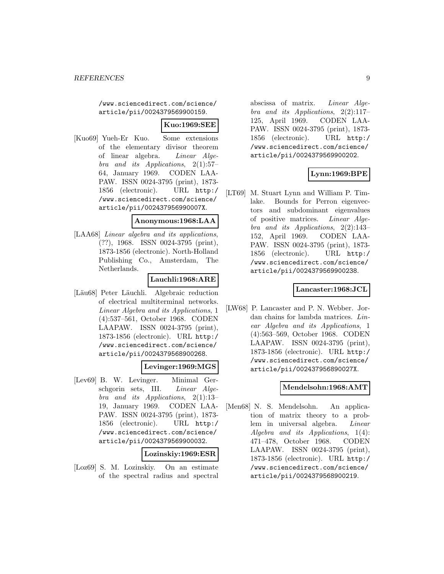/www.sciencedirect.com/science/ article/pii/0024379569900159.

## **Kuo:1969:SEE**

[Kuo69] Yueh-Er Kuo. Some extensions of the elementary divisor theorem of linear algebra. Linear Algebra and its Applications, 2(1):57– 64, January 1969. CODEN LAA-PAW. ISSN 0024-3795 (print), 1873- 1856 (electronic). URL http:/ /www.sciencedirect.com/science/ article/pii/002437956990007X.

#### **Anonymous:1968:LAA**

[LAA68] *Linear algebra and its applications*, (??), 1968. ISSN 0024-3795 (print), 1873-1856 (electronic). North-Holland Publishing Co., Amsterdam, The Netherlands.

# **Lauchli:1968:ARE**

[Läu68] Peter Läuchli. Algebraic reduction of electrical multiterminal networks. Linear Algebra and its Applications, 1 (4):537–561, October 1968. CODEN LAAPAW. ISSN 0024-3795 (print), 1873-1856 (electronic). URL http:/ /www.sciencedirect.com/science/ article/pii/0024379568900268.

# **Levinger:1969:MGS**

[Lev69] B. W. Levinger. Minimal Gerschgorin sets, III. Linear Algebra and its Applications, 2(1):13– 19, January 1969. CODEN LAA-PAW. ISSN 0024-3795 (print), 1873- 1856 (electronic). URL http:/ /www.sciencedirect.com/science/ article/pii/0024379569900032.

#### **Lozinskiy:1969:ESR**

[Loz69] S. M. Lozinskiy. On an estimate of the spectral radius and spectral

abscissa of matrix. Linear Algebra and its Applications, 2(2):117– 125, April 1969. CODEN LAA-PAW. ISSN 0024-3795 (print), 1873- 1856 (electronic). URL http:/ /www.sciencedirect.com/science/ article/pii/0024379569900202.

# **Lynn:1969:BPE**

[LT69] M. Stuart Lynn and William P. Timlake. Bounds for Perron eigenvectors and subdominant eigenvalues of positive matrices. Linear Algebra and its Applications, 2(2):143– 152, April 1969. CODEN LAA-PAW. ISSN 0024-3795 (print), 1873- 1856 (electronic). URL http:/ /www.sciencedirect.com/science/ article/pii/0024379569900238.

# **Lancaster:1968:JCL**

[LW68] P. Lancaster and P. N. Webber. Jordan chains for lambda matrices. Linear Algebra and its Applications, 1 (4):563–569, October 1968. CODEN LAAPAW. ISSN 0024-3795 (print), 1873-1856 (electronic). URL http:/ /www.sciencedirect.com/science/ article/pii/002437956890027X.

#### **Mendelsohn:1968:AMT**

[Men68] N. S. Mendelsohn. An application of matrix theory to a problem in universal algebra. Linear Algebra and its Applications, 1(4): 471–478, October 1968. CODEN LAAPAW. ISSN 0024-3795 (print), 1873-1856 (electronic). URL http:/ /www.sciencedirect.com/science/ article/pii/0024379568900219.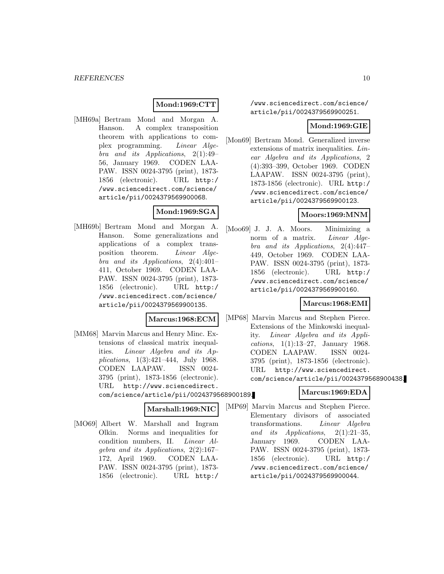# **Mond:1969:CTT**

[MH69a] Bertram Mond and Morgan A. Hanson. A complex transposition theorem with applications to complex programming. Linear Algebra and its Applications, 2(1):49– 56, January 1969. CODEN LAA-PAW. ISSN 0024-3795 (print), 1873- 1856 (electronic). URL http:/ /www.sciencedirect.com/science/ article/pii/0024379569900068.

# **Mond:1969:SGA**

[MH69b] Bertram Mond and Morgan A. Hanson. Some generalizations and applications of a complex transposition theorem. Linear Algebra and its Applications, 2(4):401– 411, October 1969. CODEN LAA-PAW. ISSN 0024-3795 (print), 1873- 1856 (electronic). URL http:/ /www.sciencedirect.com/science/ article/pii/0024379569900135.

#### **Marcus:1968:ECM**

[MM68] Marvin Marcus and Henry Minc. Extensions of classical matrix inequalities. Linear Algebra and its Applications, 1(3):421–444, July 1968. CODEN LAAPAW. ISSN 0024- 3795 (print), 1873-1856 (electronic). URL http://www.sciencedirect. com/science/article/pii/0024379568900189.

#### **Marshall:1969:NIC**

[MO69] Albert W. Marshall and Ingram Olkin. Norms and inequalities for condition numbers, II. Linear Algebra and its Applications, 2(2):167– 172, April 1969. CODEN LAA-PAW. ISSN 0024-3795 (print), 1873- 1856 (electronic). URL http:/

/www.sciencedirect.com/science/ article/pii/0024379569900251.

# **Mond:1969:GIE**

[Mon69] Bertram Mond. Generalized inverse extensions of matrix inequalities. Linear Algebra and its Applications, 2 (4):393–399, October 1969. CODEN LAAPAW. ISSN 0024-3795 (print), 1873-1856 (electronic). URL http:/ /www.sciencedirect.com/science/ article/pii/0024379569900123.

# **Moors:1969:MNM**

[Moo69] J. J. A. Moors. Minimizing a norm of a matrix. Linear Algebra and its Applications, 2(4):447– 449, October 1969. CODEN LAA-PAW. ISSN 0024-3795 (print), 1873- 1856 (electronic). URL http:/ /www.sciencedirect.com/science/ article/pii/0024379569900160.

# **Marcus:1968:EMI**

**Marcus:1969:EDA**

- [MP68] Marvin Marcus and Stephen Pierce. Extensions of the Minkowski inequality. Linear Algebra and its Applications, 1(1):13–27, January 1968. CODEN LAAPAW. ISSN 0024- 3795 (print), 1873-1856 (electronic). URL http://www.sciencedirect. com/science/article/pii/0024379568900438.
- [MP69] Marvin Marcus and Stephen Pierce. Elementary divisors of associated transformations. Linear Algebra and its Applications,  $2(1):21-35$ , January 1969. CODEN LAA-PAW. ISSN 0024-3795 (print), 1873- 1856 (electronic). URL http:/ /www.sciencedirect.com/science/ article/pii/0024379569900044.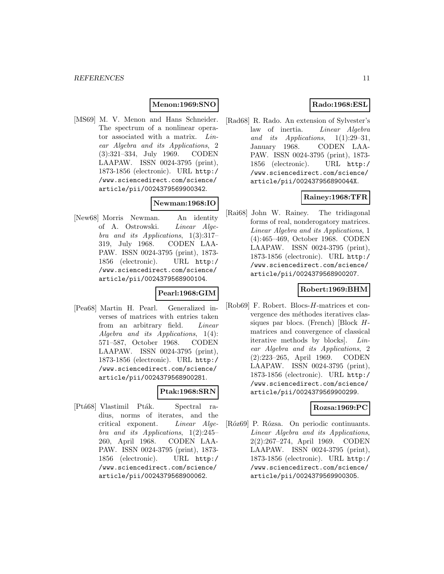# **Menon:1969:SNO**

[MS69] M. V. Menon and Hans Schneider. The spectrum of a nonlinear operator associated with a matrix. Linear Algebra and its Applications, 2 (3):321–334, July 1969. CODEN LAAPAW. ISSN 0024-3795 (print), 1873-1856 (electronic). URL http:/ /www.sciencedirect.com/science/ article/pii/0024379569900342.

# **Newman:1968:IO**

[New68] Morris Newman. An identity of A. Ostrowski. Linear Algebra and its Applications, 1(3):317– 319, July 1968. CODEN LAA-PAW. ISSN 0024-3795 (print), 1873- 1856 (electronic). URL http:/ /www.sciencedirect.com/science/ article/pii/0024379568900104.

## **Pearl:1968:GIM**

[Pea68] Martin H. Pearl. Generalized inverses of matrices with entries taken from an arbitrary field. Linear Algebra and its Applications, 1(4): 571–587, October 1968. CODEN LAAPAW. ISSN 0024-3795 (print), 1873-1856 (electronic). URL http:/ /www.sciencedirect.com/science/ article/pii/0024379568900281.

#### **Ptak:1968:SRN**

[Ptá68] Vlastimil Pták. Spectral radius, norms of iterates, and the critical exponent. Linear Algebra and its Applications, 1(2):245– 260, April 1968. CODEN LAA-PAW. ISSN 0024-3795 (print), 1873- 1856 (electronic). URL http:/ /www.sciencedirect.com/science/ article/pii/0024379568900062.

# **Rado:1968:ESL**

[Rad68] R. Rado. An extension of Sylvester's law of inertia. Linear Algebra and its Applications,  $1(1):29-31$ , January 1968. CODEN LAA-PAW. ISSN 0024-3795 (print), 1873- 1856 (electronic). URL http:/ /www.sciencedirect.com/science/ article/pii/002437956890044X.

# **Rainey:1968:TFR**

[Rai68] John W. Rainey. The tridiagonal forms of real, nonderogatory matrices. Linear Algebra and its Applications, 1 (4):465–469, October 1968. CODEN LAAPAW. ISSN 0024-3795 (print), 1873-1856 (electronic). URL http:/ /www.sciencedirect.com/science/ article/pii/0024379568900207.

# **Robert:1969:BHM**

[Rob69] F. Robert. Blocs-H-matrices et convergence des méthodes iteratives classiques par blocs. (French) [Block Hmatrices and convergence of classical iterative methods by blocks]. Linear Algebra and its Applications, 2 (2):223–265, April 1969. CODEN LAAPAW. ISSN 0024-3795 (print), 1873-1856 (electronic). URL http:/ /www.sciencedirect.com/science/ article/pii/0024379569900299.

#### **Rozsa:1969:PC**

[Róz69] P. Rózsa. On periodic continuants. Linear Algebra and its Applications, 2(2):267–274, April 1969. CODEN LAAPAW. ISSN 0024-3795 (print), 1873-1856 (electronic). URL http:/ /www.sciencedirect.com/science/ article/pii/0024379569900305.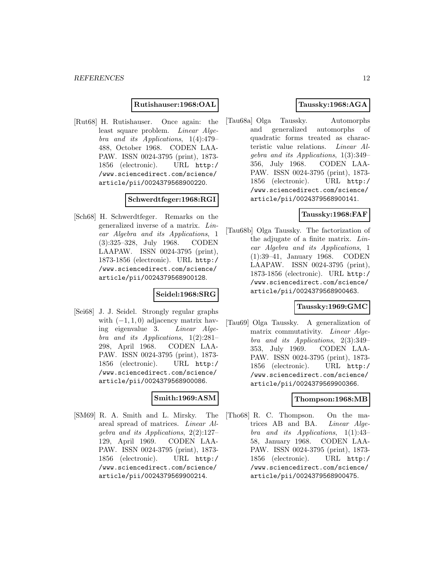**Rutishauser:1968:OAL**

[Rut68] H. Rutishauser. Once again: the least square problem. Linear Algebra and its Applications, 1(4):479– 488, October 1968. CODEN LAA-PAW. ISSN 0024-3795 (print), 1873- 1856 (electronic). URL http:/ /www.sciencedirect.com/science/ article/pii/0024379568900220.

#### **Schwerdtfeger:1968:RGI**

[Sch68] H. Schwerdtfeger. Remarks on the generalized inverse of a matrix. Linear Algebra and its Applications, 1 (3):325–328, July 1968. CODEN LAAPAW. ISSN 0024-3795 (print), 1873-1856 (electronic). URL http:/ /www.sciencedirect.com/science/ article/pii/0024379568900128.

#### **Seidel:1968:SRG**

[Sei68] J. J. Seidel. Strongly regular graphs with  $(-1, 1, 0)$  adjacency matrix having eigenvalue 3. *Linear Alge*ing eigenvalue 3. bra and its Applications, 1(2):281– 298, April 1968. CODEN LAA-PAW. ISSN 0024-3795 (print), 1873- 1856 (electronic). URL http:/ /www.sciencedirect.com/science/ article/pii/0024379568900086.

## **Smith:1969:ASM**

[SM69] R. A. Smith and L. Mirsky. The areal spread of matrices. Linear Algebra and its Applications, 2(2):127– 129, April 1969. CODEN LAA-PAW. ISSN 0024-3795 (print), 1873- 1856 (electronic). URL http:/ /www.sciencedirect.com/science/ article/pii/0024379569900214.

# **Taussky:1968:AGA**

[Tau68a] Olga Taussky. Automorphs and generalized automorphs of quadratic forms treated as characteristic value relations. Linear Algebra and its Applications, 1(3):349– 356, July 1968. CODEN LAA-PAW. ISSN 0024-3795 (print), 1873- 1856 (electronic). URL http:/ /www.sciencedirect.com/science/ article/pii/0024379568900141.

## **Taussky:1968:FAF**

[Tau68b] Olga Taussky. The factorization of the adjugate of a finite matrix. Linear Algebra and its Applications, 1 (1):39–41, January 1968. CODEN LAAPAW. ISSN 0024-3795 (print), 1873-1856 (electronic). URL http:/ /www.sciencedirect.com/science/ article/pii/0024379568900463.

#### **Taussky:1969:GMC**

[Tau69] Olga Taussky. A generalization of matrix commutativity. Linear Algebra and its Applications, 2(3):349– 353, July 1969. CODEN LAA-PAW. ISSN 0024-3795 (print), 1873- 1856 (electronic). URL http:/ /www.sciencedirect.com/science/ article/pii/0024379569900366.

#### **Thompson:1968:MB**

[Tho68] R. C. Thompson. On the matrices AB and BA. Linear Algebra and its Applications, 1(1):43– 58, January 1968. CODEN LAA-PAW. ISSN 0024-3795 (print), 1873- 1856 (electronic). URL http:/ /www.sciencedirect.com/science/ article/pii/0024379568900475.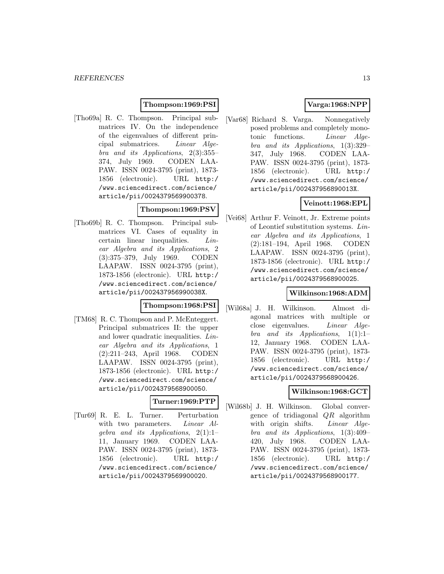# **Thompson:1969:PSI**

[Tho69a] R. C. Thompson. Principal submatrices IV. On the independence of the eigenvalues of different principal submatrices. Linear Algebra and its Applications, 2(3):355– 374, July 1969. CODEN LAA-PAW. ISSN 0024-3795 (print), 1873- 1856 (electronic). URL http:/ /www.sciencedirect.com/science/ article/pii/0024379569900378.

# **Thompson:1969:PSV**

[Tho69b] R. C. Thompson. Principal submatrices VI. Cases of equality in certain linear inequalities. Linear Algebra and its Applications, 2 (3):375–379, July 1969. CODEN LAAPAW. ISSN 0024-3795 (print), 1873-1856 (electronic). URL http:/ /www.sciencedirect.com/science/ article/pii/002437956990038X.

#### **Thompson:1968:PSI**

[TM68] R. C. Thompson and P. McEnteggert. Principal submatrices II: the upper and lower quadratic inequalities. Linear Algebra and its Applications, 1 (2):211–243, April 1968. CODEN LAAPAW. ISSN 0024-3795 (print), 1873-1856 (electronic). URL http:/ /www.sciencedirect.com/science/ article/pii/0024379568900050.

# **Turner:1969:PTP**

[Tur69] R. E. L. Turner. Perturbation with two parameters. *Linear Al*gebra and its Applications,  $2(1):1-$ 11, January 1969. CODEN LAA-PAW. ISSN 0024-3795 (print), 1873- 1856 (electronic). URL http:/ /www.sciencedirect.com/science/ article/pii/0024379569900020.

# **Varga:1968:NPP**

[Var68] Richard S. Varga. Nonnegatively posed problems and completely monotonic functions. Linear Algebra and its Applications, 1(3):329– 347, July 1968. CODEN LAA-PAW. ISSN 0024-3795 (print), 1873- 1856 (electronic). URL http:/ /www.sciencedirect.com/science/ article/pii/002437956890013X.

# **Veinott:1968:EPL**

[Vei68] Arthur F. Veinott, Jr. Extreme points of Leontief substitution systems. Linear Algebra and its Applications, 1 (2):181–194, April 1968. CODEN LAAPAW. ISSN 0024-3795 (print), 1873-1856 (electronic). URL http:/ /www.sciencedirect.com/science/ article/pii/0024379568900025.

# **Wilkinson:1968:ADM**

[Wil68a] J. H. Wilkinson. Almost diagonal matrices with multiple or close eigenvalues. Linear Algebra and its Applications, 1(1):1– 12, January 1968. CODEN LAA-PAW. ISSN 0024-3795 (print), 1873- 1856 (electronic). URL http:/ /www.sciencedirect.com/science/ article/pii/0024379568900426.

# **Wilkinson:1968:GCT**

[Wil68b] J. H. Wilkinson. Global convergence of tridiagonal  $QR$  algorithm with origin shifts. *Linear Alge*bra and its Applications, 1(3):409– 420, July 1968. CODEN LAA-PAW. ISSN 0024-3795 (print), 1873- 1856 (electronic). URL http:/ /www.sciencedirect.com/science/ article/pii/0024379568900177.